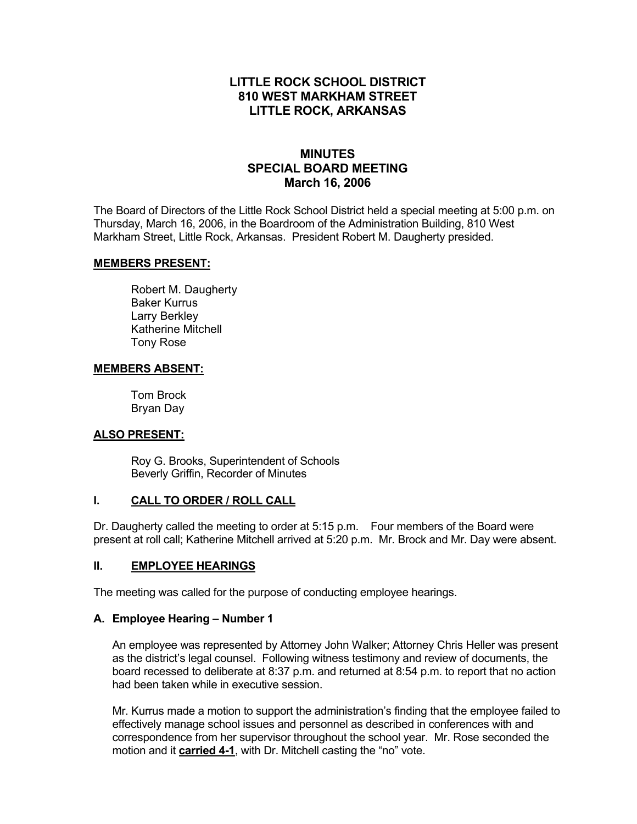# **LITTLE ROCK SCHOOL DISTRICT 810 WEST MARKHAM STREET LITTLE ROCK, ARKANSAS**

# **MINUTES SPECIAL BOARD MEETING March 16, 2006**

The Board of Directors of the Little Rock School District held a special meeting at 5:00 p.m. on Thursday, March 16, 2006, in the Boardroom of the Administration Building, 810 West Markham Street, Little Rock, Arkansas. President Robert M. Daugherty presided.

#### **MEMBERS PRESENT:**

Robert M. Daugherty Baker Kurrus Larry Berkley Katherine Mitchell Tony Rose

#### **MEMBERS ABSENT:**

Tom Brock Bryan Day

## **ALSO PRESENT:**

 Roy G. Brooks, Superintendent of Schools Beverly Griffin, Recorder of Minutes

## **I. CALL TO ORDER / ROLL CALL**

Dr. Daugherty called the meeting to order at 5:15 p.m. Four members of the Board were present at roll call; Katherine Mitchell arrived at 5:20 p.m. Mr. Brock and Mr. Day were absent.

## **II. EMPLOYEE HEARINGS**

The meeting was called for the purpose of conducting employee hearings.

## **A. Employee Hearing – Number 1**

An employee was represented by Attorney John Walker; Attorney Chris Heller was present as the district's legal counsel. Following witness testimony and review of documents, the board recessed to deliberate at 8:37 p.m. and returned at 8:54 p.m. to report that no action had been taken while in executive session.

Mr. Kurrus made a motion to support the administration's finding that the employee failed to effectively manage school issues and personnel as described in conferences with and correspondence from her supervisor throughout the school year. Mr. Rose seconded the motion and it **carried 4-1**, with Dr. Mitchell casting the "no" vote.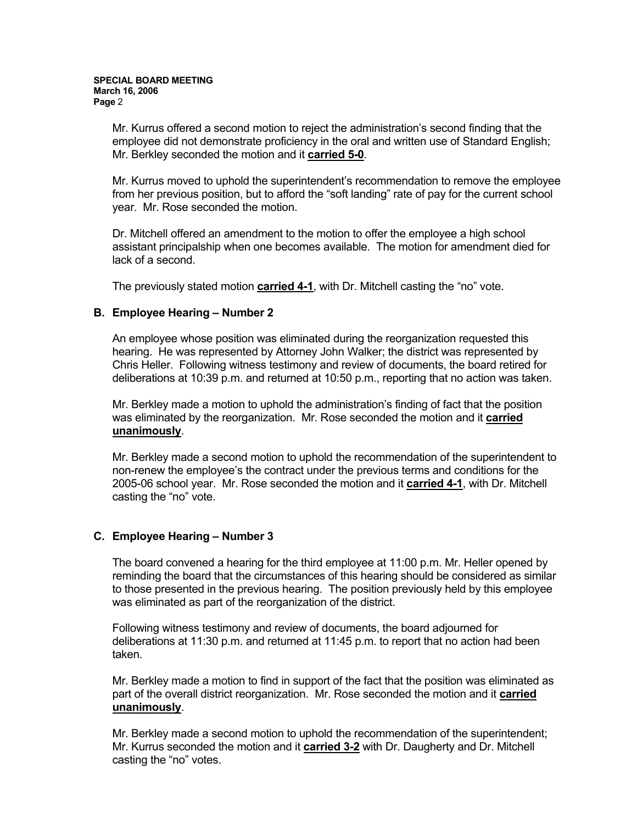Mr. Kurrus offered a second motion to reject the administration's second finding that the employee did not demonstrate proficiency in the oral and written use of Standard English; Mr. Berkley seconded the motion and it **carried 5-0**.

Mr. Kurrus moved to uphold the superintendent's recommendation to remove the employee from her previous position, but to afford the "soft landing" rate of pay for the current school year. Mr. Rose seconded the motion.

Dr. Mitchell offered an amendment to the motion to offer the employee a high school assistant principalship when one becomes available. The motion for amendment died for lack of a second.

The previously stated motion **carried 4-1**, with Dr. Mitchell casting the "no" vote.

#### **B. Employee Hearing – Number 2**

An employee whose position was eliminated during the reorganization requested this hearing. He was represented by Attorney John Walker; the district was represented by Chris Heller. Following witness testimony and review of documents, the board retired for deliberations at 10:39 p.m. and returned at 10:50 p.m., reporting that no action was taken.

Mr. Berkley made a motion to uphold the administration's finding of fact that the position was eliminated by the reorganization. Mr. Rose seconded the motion and it **carried unanimously**.

Mr. Berkley made a second motion to uphold the recommendation of the superintendent to non-renew the employee's the contract under the previous terms and conditions for the 2005-06 school year. Mr. Rose seconded the motion and it **carried 4-1**, with Dr. Mitchell casting the "no" vote.

## **C. Employee Hearing – Number 3**

The board convened a hearing for the third employee at 11:00 p.m. Mr. Heller opened by reminding the board that the circumstances of this hearing should be considered as similar to those presented in the previous hearing. The position previously held by this employee was eliminated as part of the reorganization of the district.

Following witness testimony and review of documents, the board adjourned for deliberations at 11:30 p.m. and returned at 11:45 p.m. to report that no action had been taken.

Mr. Berkley made a motion to find in support of the fact that the position was eliminated as part of the overall district reorganization. Mr. Rose seconded the motion and it **carried unanimously**.

Mr. Berkley made a second motion to uphold the recommendation of the superintendent; Mr. Kurrus seconded the motion and it **carried 3-2** with Dr. Daugherty and Dr. Mitchell casting the "no" votes.